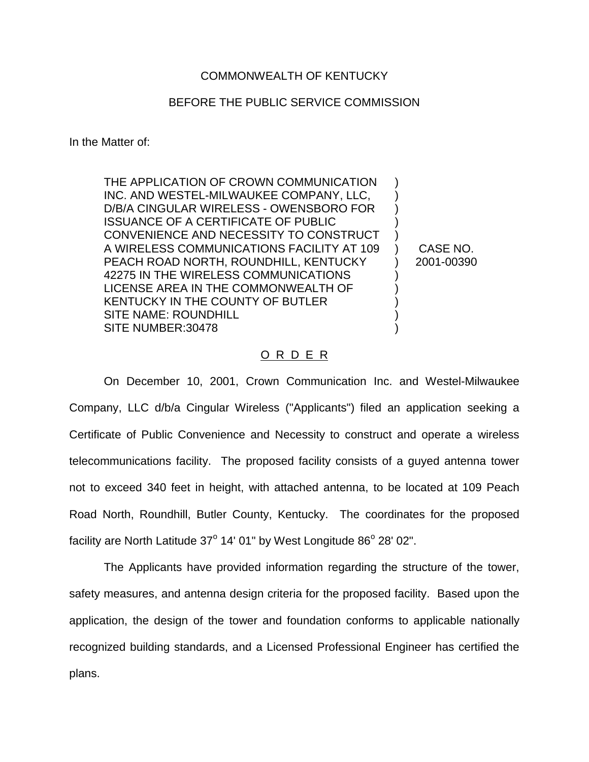## COMMONWEALTH OF KENTUCKY

## BEFORE THE PUBLIC SERVICE COMMISSION

In the Matter of:

THE APPLICATION OF CROWN COMMUNICATION INC. AND WESTEL-MILWAUKEE COMPANY, LLC, D/B/A CINGULAR WIRELESS - OWENSBORO FOR ISSUANCE OF A CERTIFICATE OF PUBLIC CONVENIENCE AND NECESSITY TO CONSTRUCT A WIRELESS COMMUNICATIONS FACILITY AT 109 PEACH ROAD NORTH, ROUNDHILL, KENTUCKY 42275 IN THE WIRELESS COMMUNICATIONS LICENSE AREA IN THE COMMONWEALTH OF KENTUCKY IN THE COUNTY OF BUTLER SITE NAME: ROUNDHILL SITE NUMBER:30478 ) ) ) ) ) ) ) ) ) ) ) )

CASE NO. 2001-00390

## O R D E R

On December 10, 2001, Crown Communication Inc. and Westel-Milwaukee Company, LLC d/b/a Cingular Wireless ("Applicants") filed an application seeking a Certificate of Public Convenience and Necessity to construct and operate a wireless telecommunications facility. The proposed facility consists of a guyed antenna tower not to exceed 340 feet in height, with attached antenna, to be located at 109 Peach Road North, Roundhill, Butler County, Kentucky. The coordinates for the proposed facility are North Latitude  $37^\circ$  14' 01" by West Longitude  $86^\circ$  28' 02".

The Applicants have provided information regarding the structure of the tower, safety measures, and antenna design criteria for the proposed facility. Based upon the application, the design of the tower and foundation conforms to applicable nationally recognized building standards, and a Licensed Professional Engineer has certified the plans.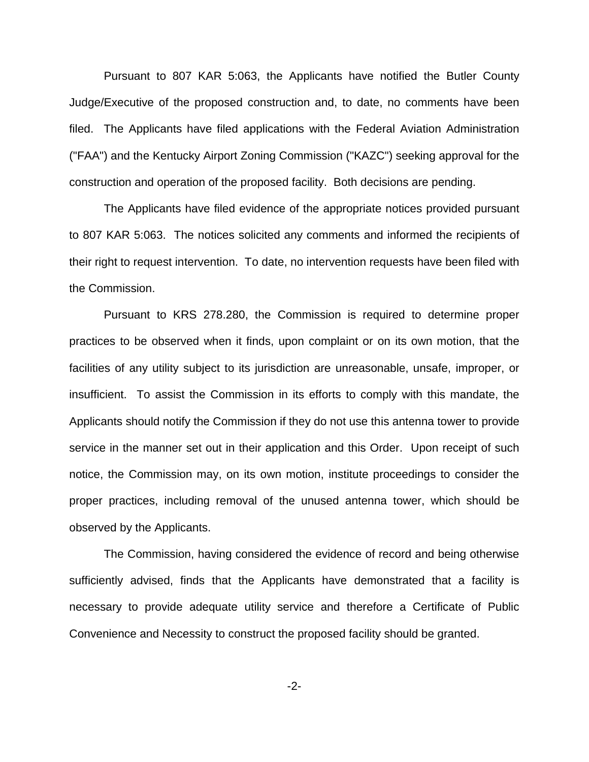Pursuant to 807 KAR 5:063, the Applicants have notified the Butler County Judge/Executive of the proposed construction and, to date, no comments have been filed. The Applicants have filed applications with the Federal Aviation Administration ("FAA") and the Kentucky Airport Zoning Commission ("KAZC") seeking approval for the construction and operation of the proposed facility. Both decisions are pending.

The Applicants have filed evidence of the appropriate notices provided pursuant to 807 KAR 5:063. The notices solicited any comments and informed the recipients of their right to request intervention. To date, no intervention requests have been filed with the Commission.

Pursuant to KRS 278.280, the Commission is required to determine proper practices to be observed when it finds, upon complaint or on its own motion, that the facilities of any utility subject to its jurisdiction are unreasonable, unsafe, improper, or insufficient. To assist the Commission in its efforts to comply with this mandate, the Applicants should notify the Commission if they do not use this antenna tower to provide service in the manner set out in their application and this Order. Upon receipt of such notice, the Commission may, on its own motion, institute proceedings to consider the proper practices, including removal of the unused antenna tower, which should be observed by the Applicants.

The Commission, having considered the evidence of record and being otherwise sufficiently advised, finds that the Applicants have demonstrated that a facility is necessary to provide adequate utility service and therefore a Certificate of Public Convenience and Necessity to construct the proposed facility should be granted.

-2-